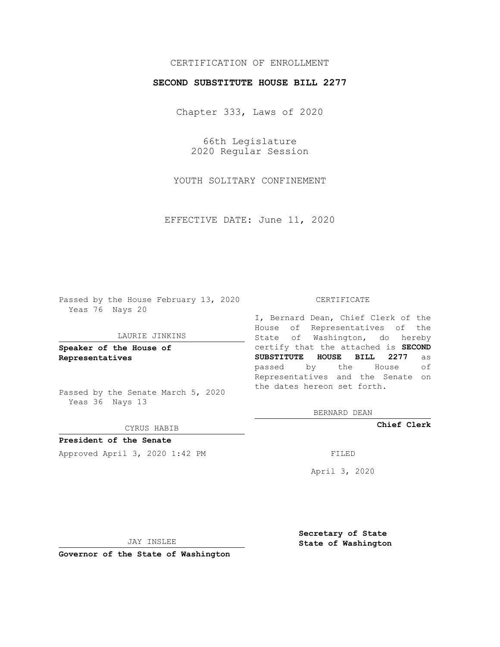# CERTIFICATION OF ENROLLMENT

### **SECOND SUBSTITUTE HOUSE BILL 2277**

Chapter 333, Laws of 2020

66th Legislature 2020 Regular Session

YOUTH SOLITARY CONFINEMENT

EFFECTIVE DATE: June 11, 2020

Passed by the House February 13, 2020 Yeas 76 Nays 20

#### LAURIE JINKINS

**Speaker of the House of Representatives**

Passed by the Senate March 5, 2020 Yeas 36 Nays 13

CYRUS HABIB

**President of the Senate** Approved April 3, 2020 1:42 PM

#### CERTIFICATE

I, Bernard Dean, Chief Clerk of the House of Representatives of the State of Washington, do hereby certify that the attached is **SECOND SUBSTITUTE HOUSE BILL 2277** as passed by the House of Representatives and the Senate on the dates hereon set forth.

BERNARD DEAN

**Chief Clerk**

April 3, 2020

JAY INSLEE

**Governor of the State of Washington**

**Secretary of State State of Washington**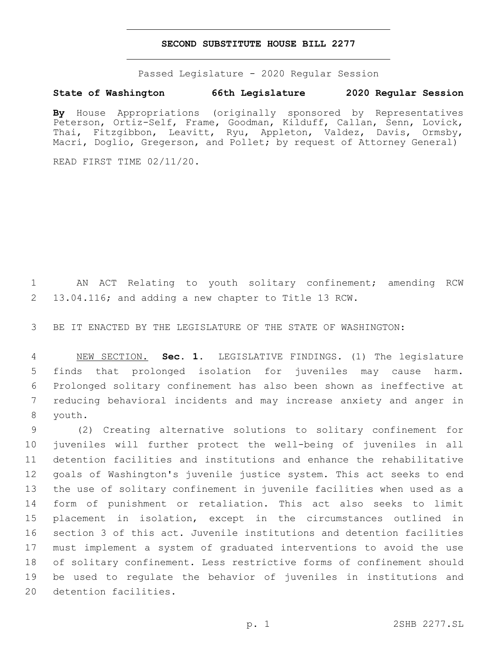### **SECOND SUBSTITUTE HOUSE BILL 2277**

Passed Legislature - 2020 Regular Session

## **State of Washington 66th Legislature 2020 Regular Session**

**By** House Appropriations (originally sponsored by Representatives Peterson, Ortiz-Self, Frame, Goodman, Kilduff, Callan, Senn, Lovick, Thai, Fitzgibbon, Leavitt, Ryu, Appleton, Valdez, Davis, Ormsby, Macri, Doglio, Gregerson, and Pollet; by request of Attorney General)

READ FIRST TIME 02/11/20.

 AN ACT Relating to youth solitary confinement; amending RCW 13.04.116; and adding a new chapter to Title 13 RCW.

BE IT ENACTED BY THE LEGISLATURE OF THE STATE OF WASHINGTON:

 NEW SECTION. **Sec. 1.** LEGISLATIVE FINDINGS. (1) The legislature finds that prolonged isolation for juveniles may cause harm. Prolonged solitary confinement has also been shown as ineffective at reducing behavioral incidents and may increase anxiety and anger in youth.

 (2) Creating alternative solutions to solitary confinement for juveniles will further protect the well-being of juveniles in all detention facilities and institutions and enhance the rehabilitative goals of Washington's juvenile justice system. This act seeks to end the use of solitary confinement in juvenile facilities when used as a form of punishment or retaliation. This act also seeks to limit placement in isolation, except in the circumstances outlined in section 3 of this act. Juvenile institutions and detention facilities must implement a system of graduated interventions to avoid the use of solitary confinement. Less restrictive forms of confinement should be used to regulate the behavior of juveniles in institutions and 20 detention facilities.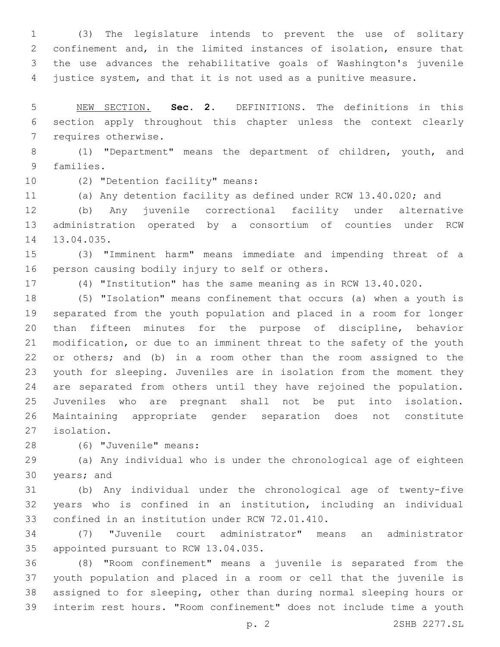(3) The legislature intends to prevent the use of solitary confinement and, in the limited instances of isolation, ensure that the use advances the rehabilitative goals of Washington's juvenile justice system, and that it is not used as a punitive measure.

 NEW SECTION. **Sec. 2.** DEFINITIONS. The definitions in this section apply throughout this chapter unless the context clearly requires otherwise.

 (1) "Department" means the department of children, youth, and 9 families.

10 (2) "Detention facility" means:

(a) Any detention facility as defined under RCW 13.40.020; and

 (b) Any juvenile correctional facility under alternative administration operated by a consortium of counties under RCW 14 13.04.035.

 (3) "Imminent harm" means immediate and impending threat of a 16 person causing bodily injury to self or others.

(4) "Institution" has the same meaning as in RCW 13.40.020.

 (5) "Isolation" means confinement that occurs (a) when a youth is separated from the youth population and placed in a room for longer than fifteen minutes for the purpose of discipline, behavior modification, or due to an imminent threat to the safety of the youth or others; and (b) in a room other than the room assigned to the youth for sleeping. Juveniles are in isolation from the moment they are separated from others until they have rejoined the population. Juveniles who are pregnant shall not be put into isolation. Maintaining appropriate gender separation does not constitute isolation.27

(6) "Juvenile" means:28

 (a) Any individual who is under the chronological age of eighteen 30 years; and

 (b) Any individual under the chronological age of twenty-five years who is confined in an institution, including an individual 33 confined in an institution under RCW 72.01.410.

 (7) "Juvenile court administrator" means an administrator 35 appointed pursuant to RCW 13.04.035.

 (8) "Room confinement" means a juvenile is separated from the youth population and placed in a room or cell that the juvenile is assigned to for sleeping, other than during normal sleeping hours or interim rest hours. "Room confinement" does not include time a youth

p. 2 2SHB 2277.SL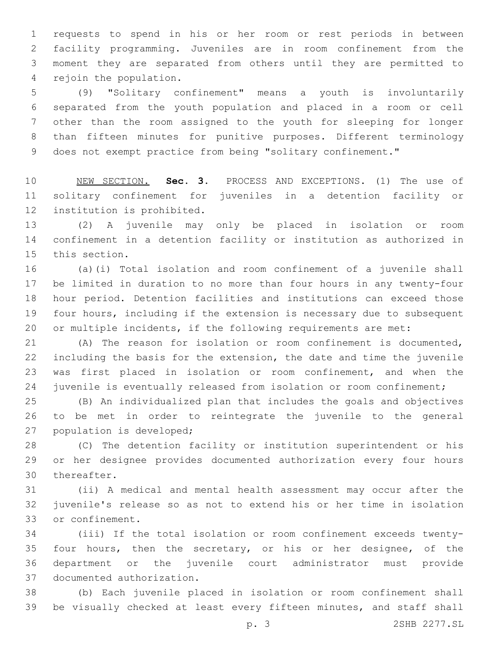requests to spend in his or her room or rest periods in between facility programming. Juveniles are in room confinement from the moment they are separated from others until they are permitted to 4 rejoin the population.

 (9) "Solitary confinement" means a youth is involuntarily separated from the youth population and placed in a room or cell other than the room assigned to the youth for sleeping for longer than fifteen minutes for punitive purposes. Different terminology 9 does not exempt practice from being "solitary confinement."

 NEW SECTION. **Sec. 3.** PROCESS AND EXCEPTIONS. (1) The use of solitary confinement for juveniles in a detention facility or institution is prohibited.

 (2) A juvenile may only be placed in isolation or room confinement in a detention facility or institution as authorized in 15 this section.

 (a)(i) Total isolation and room confinement of a juvenile shall be limited in duration to no more than four hours in any twenty-four hour period. Detention facilities and institutions can exceed those four hours, including if the extension is necessary due to subsequent or multiple incidents, if the following requirements are met:

 (A) The reason for isolation or room confinement is documented, including the basis for the extension, the date and time the juvenile was first placed in isolation or room confinement, and when the 24 juvenile is eventually released from isolation or room confinement;

 (B) An individualized plan that includes the goals and objectives to be met in order to reintegrate the juvenile to the general 27 population is developed;

 (C) The detention facility or institution superintendent or his or her designee provides documented authorization every four hours 30 thereafter.

 (ii) A medical and mental health assessment may occur after the juvenile's release so as not to extend his or her time in isolation 33 or confinement.

 (iii) If the total isolation or room confinement exceeds twenty- four hours, then the secretary, or his or her designee, of the department or the juvenile court administrator must provide 37 documented authorization.

 (b) Each juvenile placed in isolation or room confinement shall be visually checked at least every fifteen minutes, and staff shall

p. 3 2SHB 2277.SL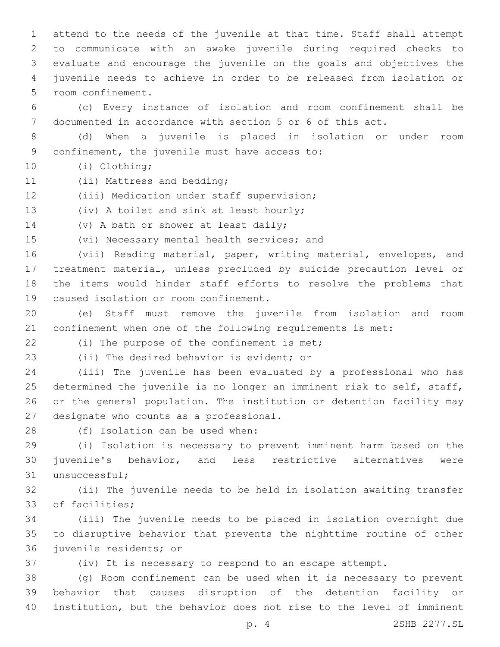attend to the needs of the juvenile at that time. Staff shall attempt to communicate with an awake juvenile during required checks to evaluate and encourage the juvenile on the goals and objectives the juvenile needs to achieve in order to be released from isolation or room confinement.5

6 (c) Every instance of isolation and room confinement shall be 7 documented in accordance with section 5 or 6 of this act.

8 (d) When a juvenile is placed in isolation or under room 9 confinement, the juvenile must have access to:

(i) Clothing;10

- 11 (ii) Mattress and bedding;
- 12 (iii) Medication under staff supervision;

13 (iv) A toilet and sink at least hourly;

14 (v) A bath or shower at least daily;

15 (vi) Necessary mental health services; and

 (vii) Reading material, paper, writing material, envelopes, and treatment material, unless precluded by suicide precaution level or the items would hinder staff efforts to resolve the problems that 19 caused isolation or room confinement.

20 (e) Staff must remove the juvenile from isolation and room 21 confinement when one of the following requirements is met:

22 (i) The purpose of the confinement is met;

23 (ii) The desired behavior is evident; or

 (iii) The juvenile has been evaluated by a professional who has determined the juvenile is no longer an imminent risk to self, staff, or the general population. The institution or detention facility may 27 designate who counts as a professional.

28 (f) Isolation can be used when:

29 (i) Isolation is necessary to prevent imminent harm based on the 30 juvenile's behavior, and less restrictive alternatives were 31 unsuccessful;

32 (ii) The juvenile needs to be held in isolation awaiting transfer 33 of facilities;

34 (iii) The juvenile needs to be placed in isolation overnight due 35 to disruptive behavior that prevents the nighttime routine of other 36 juvenile residents; or

37 (iv) It is necessary to respond to an escape attempt.

38 (g) Room confinement can be used when it is necessary to prevent 39 behavior that causes disruption of the detention facility or 40 institution, but the behavior does not rise to the level of imminent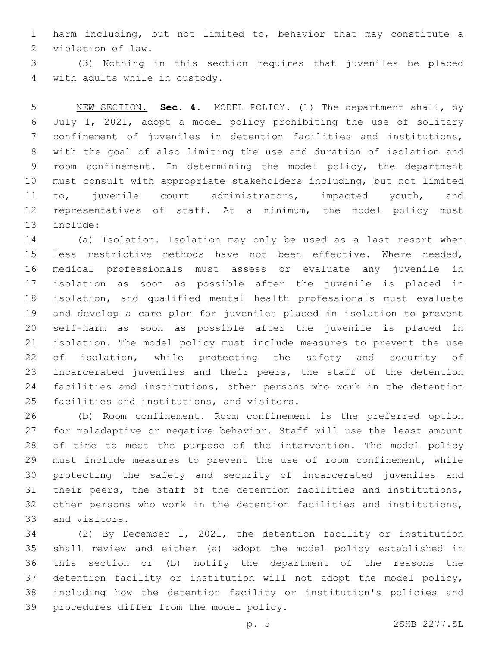harm including, but not limited to, behavior that may constitute a 2 violation of law.

 (3) Nothing in this section requires that juveniles be placed 4 with adults while in custody.

 NEW SECTION. **Sec. 4.** MODEL POLICY. (1) The department shall, by July 1, 2021, adopt a model policy prohibiting the use of solitary confinement of juveniles in detention facilities and institutions, with the goal of also limiting the use and duration of isolation and room confinement. In determining the model policy, the department must consult with appropriate stakeholders including, but not limited 11 to, juvenile court administrators, impacted youth, and representatives of staff. At a minimum, the model policy must include:

 (a) Isolation. Isolation may only be used as a last resort when less restrictive methods have not been effective. Where needed, medical professionals must assess or evaluate any juvenile in isolation as soon as possible after the juvenile is placed in isolation, and qualified mental health professionals must evaluate and develop a care plan for juveniles placed in isolation to prevent self-harm as soon as possible after the juvenile is placed in isolation. The model policy must include measures to prevent the use 22 of isolation, while protecting the safety and security of incarcerated juveniles and their peers, the staff of the detention facilities and institutions, other persons who work in the detention 25 facilities and institutions, and visitors.

 (b) Room confinement. Room confinement is the preferred option for maladaptive or negative behavior. Staff will use the least amount of time to meet the purpose of the intervention. The model policy must include measures to prevent the use of room confinement, while protecting the safety and security of incarcerated juveniles and their peers, the staff of the detention facilities and institutions, other persons who work in the detention facilities and institutions, 33 and visitors.

 (2) By December 1, 2021, the detention facility or institution shall review and either (a) adopt the model policy established in this section or (b) notify the department of the reasons the detention facility or institution will not adopt the model policy, including how the detention facility or institution's policies and 39 procedures differ from the model policy.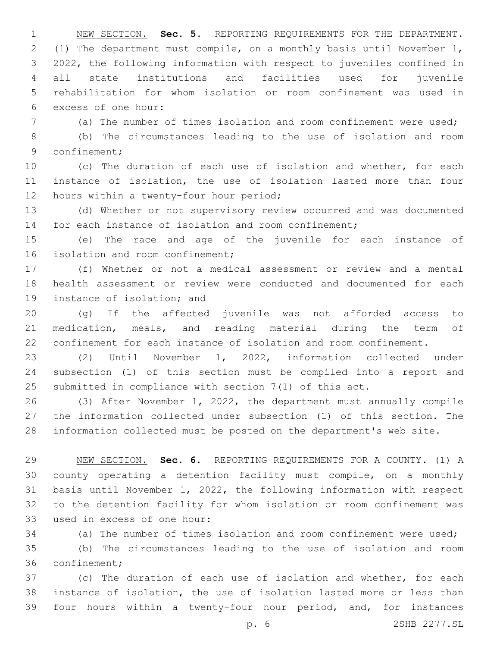NEW SECTION. **Sec. 5.** REPORTING REQUIREMENTS FOR THE DEPARTMENT. (1) The department must compile, on a monthly basis until November 1, 2022, the following information with respect to juveniles confined in all state institutions and facilities used for juvenile rehabilitation for whom isolation or room confinement was used in excess of one hour:

(a) The number of times isolation and room confinement were used;

 (b) The circumstances leading to the use of isolation and room 9 confinement;

 (c) The duration of each use of isolation and whether, for each instance of isolation, the use of isolation lasted more than four 12 hours within a twenty-four hour period;

 (d) Whether or not supervisory review occurred and was documented 14 for each instance of isolation and room confinement;

 (e) The race and age of the juvenile for each instance of 16 isolation and room confinement;

 (f) Whether or not a medical assessment or review and a mental health assessment or review were conducted and documented for each 19 instance of isolation; and

 (g) If the affected juvenile was not afforded access to medication, meals, and reading material during the term of confinement for each instance of isolation and room confinement.

 (2) Until November 1, 2022, information collected under subsection (1) of this section must be compiled into a report and submitted in compliance with section 7(1) of this act.

 (3) After November 1, 2022, the department must annually compile the information collected under subsection (1) of this section. The information collected must be posted on the department's web site.

 NEW SECTION. **Sec. 6.** REPORTING REQUIREMENTS FOR A COUNTY. (1) A county operating a detention facility must compile, on a monthly basis until November 1, 2022, the following information with respect to the detention facility for whom isolation or room confinement was used in excess of one hour:

(a) The number of times isolation and room confinement were used;

 (b) The circumstances leading to the use of isolation and room 36 confinement;

 (c) The duration of each use of isolation and whether, for each instance of isolation, the use of isolation lasted more or less than four hours within a twenty-four hour period, and, for instances

p. 6 2SHB 2277.SL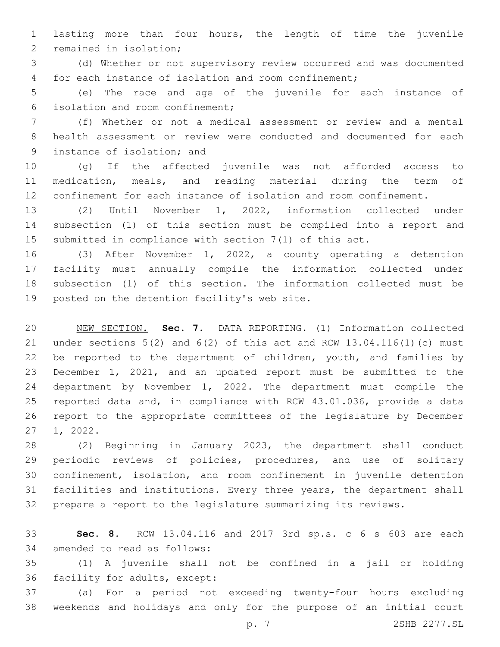lasting more than four hours, the length of time the juvenile 2 remained in isolation;

 (d) Whether or not supervisory review occurred and was documented for each instance of isolation and room confinement;

 (e) The race and age of the juvenile for each instance of isolation and room confinement;6

 (f) Whether or not a medical assessment or review and a mental health assessment or review were conducted and documented for each 9 instance of isolation; and

 (g) If the affected juvenile was not afforded access to medication, meals, and reading material during the term of confinement for each instance of isolation and room confinement.

 (2) Until November 1, 2022, information collected under subsection (1) of this section must be compiled into a report and submitted in compliance with section 7(1) of this act.

 (3) After November 1, 2022, a county operating a detention facility must annually compile the information collected under subsection (1) of this section. The information collected must be 19 posted on the detention facility's web site.

 NEW SECTION. **Sec. 7.** DATA REPORTING. (1) Information collected under sections 5(2) and 6(2) of this act and RCW 13.04.116(1)(c) must 22 be reported to the department of children, youth, and families by December 1, 2021, and an updated report must be submitted to the department by November 1, 2022. The department must compile the reported data and, in compliance with RCW 43.01.036, provide a data report to the appropriate committees of the legislature by December 1, 2022.

 (2) Beginning in January 2023, the department shall conduct periodic reviews of policies, procedures, and use of solitary confinement, isolation, and room confinement in juvenile detention facilities and institutions. Every three years, the department shall prepare a report to the legislature summarizing its reviews.

 **Sec. 8.** RCW 13.04.116 and 2017 3rd sp.s. c 6 s 603 are each 34 amended to read as follows:

 (1) A juvenile shall not be confined in a jail or holding 36 facility for adults, except:

 (a) For a period not exceeding twenty-four hours excluding weekends and holidays and only for the purpose of an initial court

p. 7 2SHB 2277.SL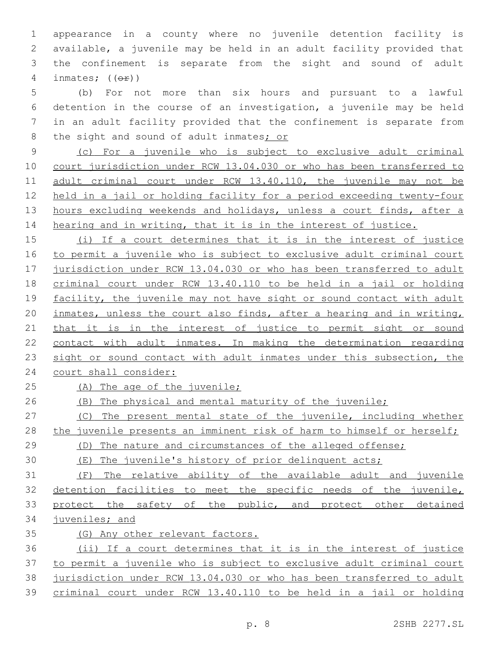appearance in a county where no juvenile detention facility is available, a juvenile may be held in an adult facility provided that the confinement is separate from the sight and sound of adult 4 inmates;  $((\theta \oplus))$ 

 (b) For not more than six hours and pursuant to a lawful detention in the course of an investigation, a juvenile may be held in an adult facility provided that the confinement is separate from the sight and sound of adult inmates; or

 (c) For a juvenile who is subject to exclusive adult criminal court jurisdiction under RCW 13.04.030 or who has been transferred to 11 adult criminal court under RCW 13.40.110, the juvenile may not be held in a jail or holding facility for a period exceeding twenty-four hours excluding weekends and holidays, unless a court finds, after a 14 hearing and in writing, that it is in the interest of justice.

 (i) If a court determines that it is in the interest of justice to permit a juvenile who is subject to exclusive adult criminal court jurisdiction under RCW 13.04.030 or who has been transferred to adult criminal court under RCW 13.40.110 to be held in a jail or holding 19 facility, the juvenile may not have sight or sound contact with adult inmates, unless the court also finds, after a hearing and in writing, 21 that it is in the interest of justice to permit sight or sound contact with adult inmates. In making the determination regarding 23 sight or sound contact with adult inmates under this subsection, the court shall consider:

25 (A) The age of the juvenile;

(B) The physical and mental maturity of the juvenile;

 (C) The present mental state of the juvenile, including whether 28 the juvenile presents an imminent risk of harm to himself or herself;

(D) The nature and circumstances of the alleged offense;

(E) The juvenile's history of prior delinquent acts;

 (F) The relative ability of the available adult and juvenile detention facilities to meet the specific needs of the juvenile, 33 protect the safety of the public, and protect other detained juveniles; and

(G) Any other relevant factors.

 (ii) If a court determines that it is in the interest of justice to permit a juvenile who is subject to exclusive adult criminal court jurisdiction under RCW 13.04.030 or who has been transferred to adult criminal court under RCW 13.40.110 to be held in a jail or holding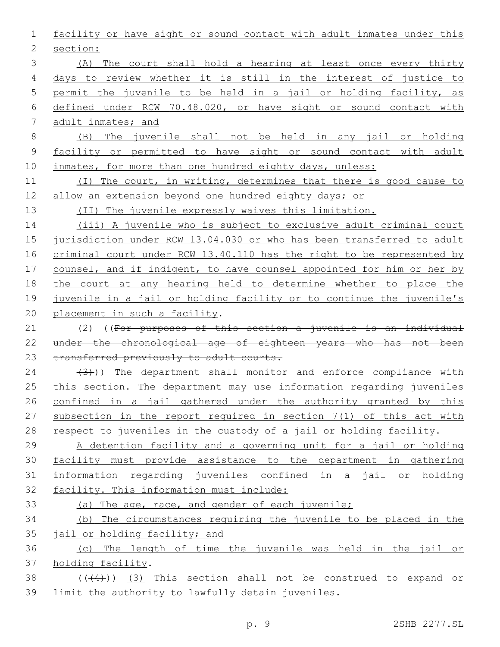facility or have sight or sound contact with adult inmates under this 2 section: (A) The court shall hold a hearing at least once every thirty days to review whether it is still in the interest of justice to permit the juvenile to be held in a jail or holding facility, as defined under RCW 70.48.020, or have sight or sound contact with adult inmates; and (B) The juvenile shall not be held in any jail or holding facility or permitted to have sight or sound contact with adult 10 inmates, for more than one hundred eighty days, unless: (I) The court, in writing, determines that there is good cause to 12 allow an extension beyond one hundred eighty days; or (II) The juvenile expressly waives this limitation. (iii) A juvenile who is subject to exclusive adult criminal court jurisdiction under RCW 13.04.030 or who has been transferred to adult criminal court under RCW 13.40.110 has the right to be represented by 17 counsel, and if indigent, to have counsel appointed for him or her by the court at any hearing held to determine whether to place the 19 juvenile in a jail or holding facility or to continue the juvenile's 20 placement in such a facility. (2) ((For purposes of this section a juvenile is an individual under the chronological age of eighteen years who has not been 23 transferred previously to adult courts.  $(3)$ )) The department shall monitor and enforce compliance with 25 this section. The department may use information regarding juveniles confined in a jail gathered under the authority granted by this subsection in the report required in section 7(1) of this act with 28 respect to juveniles in the custody of a jail or holding facility. A detention facility and a governing unit for a jail or holding facility must provide assistance to the department in gathering information regarding juveniles confined in a jail or holding facility. This information must include: (a) The age, race, and gender of each juvenile; (b) The circumstances requiring the juvenile to be placed in the 35 jail or holding facility; and (c) The length of time the juvenile was held in the jail or 37 holding facility.  $((+4))$   $(3)$  This section shall not be construed to expand or 39 limit the authority to lawfully detain juveniles.